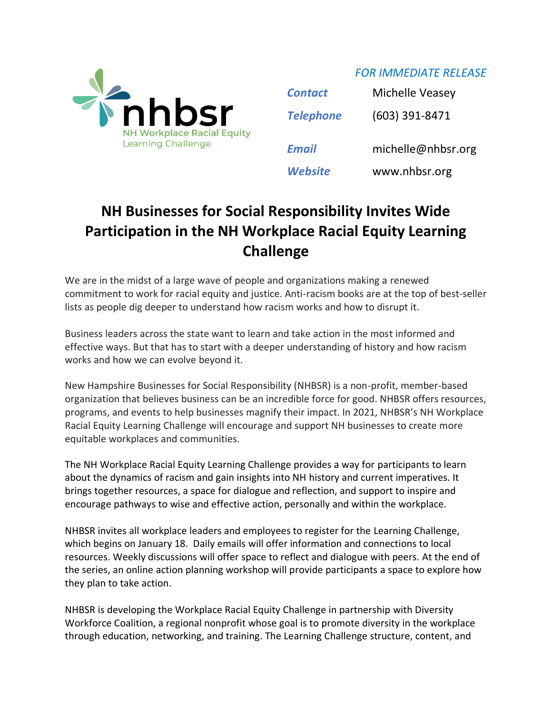

*FOR IMMEDIATE RELEASE*

| <b>Contact</b>   | Michelle Veasey    |
|------------------|--------------------|
| <b>Telephone</b> | (603) 391-8471     |
|                  |                    |
| <b>Email</b>     | michelle@nhbsr.org |

## **NH Businesses for Social Responsibility Invites Wide Participation in the NH Workplace Racial Equity Learning Challenge**

We are in the midst of a large wave of people and organizations making a renewed commitment to work for racial equity and justice. Anti-racism books are at the top of best-seller lists as people dig deeper to understand how racism works and how to disrupt it.

Business leaders across the state want to learn and take action in the most informed and effective ways. But that has to start with a deeper understanding of history and how racism works and how we can evolve beyond it.

New Hampshire Businesses for Social Responsibility (NHBSR) is a non-profit, member-based organization that believes business can be an incredible force for good. NHBSR offers resources, programs, and events to help businesses magnify their impact. In 2021, NHBSR's NH Workplace Racial Equity Learning Challenge will encourage and support NH businesses to create more equitable workplaces and communities.

The NH Workplace Racial Equity Learning Challenge provides a way for participants to learn about the dynamics of racism and gain insights into NH history and current imperatives. It brings together resources, a space for dialogue and reflection, and support to inspire and encourage pathways to wise and effective action, personally and within the workplace.

NHBSR invites all workplace leaders and employees to register for the Learning Challenge, which begins on January 18. Daily emails will offer information and connections to local resources. Weekly discussions will offer space to reflect and dialogue with peers. At the end of the series, an online action planning workshop will provide participants a space to explore how they plan to take action.

NHBSR is developing the Workplace Racial Equity Challenge in partnership with Diversity Workforce Coalition, a regional nonprofit whose goal is to promote diversity in the workplace through education, networking, and training. The Learning Challenge structure, content, and